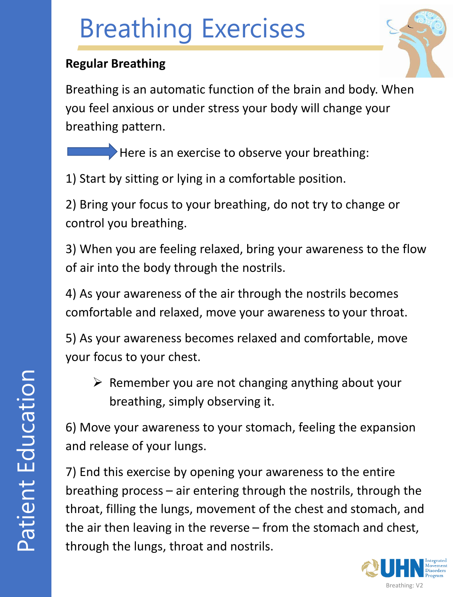#### **Regular Breathing**

Breathing is an automatic function of the brain and body. When you feel anxious or under stress your body will change your breathing pattern.

Here is an exercise to observe your breathing:

1) Start by sitting or lying in a comfortable position.

2) Bring your focus to your breathing, do not try to change or control you breathing.

3) When you are feeling relaxed, bring your awareness to the flow of air into the body through the nostrils.

4) As your awareness of the air through the nostrils becomes comfortable and relaxed, move your awareness to your throat.

5) As your awareness becomes relaxed and comfortable, move your focus to your chest.

 $\triangleright$  Remember you are not changing anything about your breathing, simply observing it.

6) Move your awareness to your stomach, feeling the expansion and release of your lungs.

7) End this exercise by opening your awareness to the entire breathing process – air entering through the nostrils, through the throat, filling the lungs, movement of the chest and stomach, and the air then leaving in the reverse – from the stomach and chest, through the lungs, throat and nostrils.

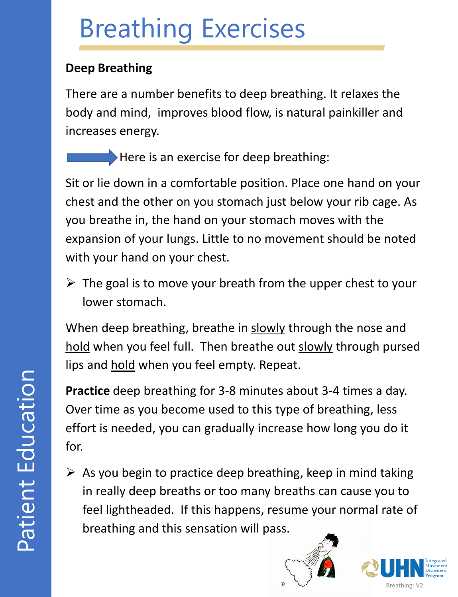### **Deep Breathing**

There are a number benefits to deep breathing. It relaxes the body and mind, improves blood flow, is natural painkiller and increases energy.

Here is an exercise for deep breathing:

Sit or lie down in a comfortable position. Place one hand on your chest and the other on you stomach just below your rib cage. As you breathe in, the hand on your stomach moves with the expansion of your lungs. Little to no movement should be noted with your hand on your chest.

 $\triangleright$  The goal is to move your breath from the upper chest to your lower stomach.

When deep breathing, breathe in slowly through the nose and hold when you feel full. Then breathe out slowly through pursed lips and hold when you feel empty. Repeat.

**Practice** deep breathing for 3-8 minutes about 3-4 times a day. Over time as you become used to this type of breathing, less effort is needed, you can gradually increase how long you do it for.

 $\triangleright$  As you begin to practice deep breathing, keep in mind taking in really deep breaths or too many breaths can cause you to feel lightheaded. If this happens, resume your normal rate of breathing and this sensation will pass.



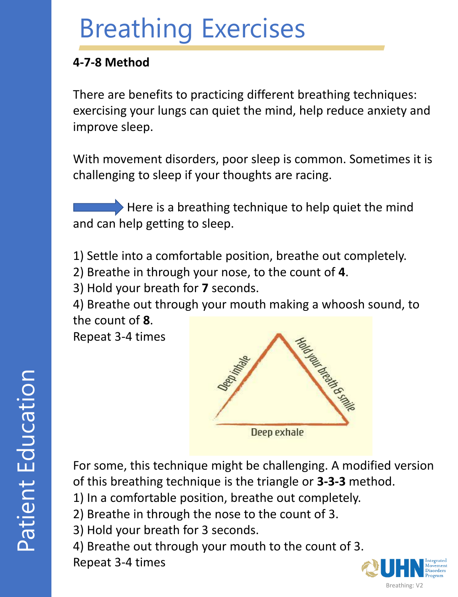#### **4-7-8 Method**

There are benefits to practicing different breathing techniques: exercising your lungs can quiet the mind, help reduce anxiety and improve sleep.

With movement disorders, poor sleep is common. Sometimes it is challenging to sleep if your thoughts are racing.

 $\blacktriangleright$  Here is a breathing technique to help quiet the mind and can help getting to sleep.

1) Settle into a comfortable position, breathe out completely.

2) Breathe in through your nose, to the count of **4**.

3) Hold your breath for **7** seconds.

4) Breathe out through your mouth making a whoosh sound, to the count of **8**.

Repeat 3-4 times



For some, this technique might be challenging. A modified version of this breathing technique is the triangle or **3-3-3** method.

- 1) In a comfortable position, breathe out completely.
- 2) Breathe in through the nose to the count of 3.
- 3) Hold your breath for 3 seconds.

4) Breathe out through your mouth to the count of 3.

Repeat 3-4 times

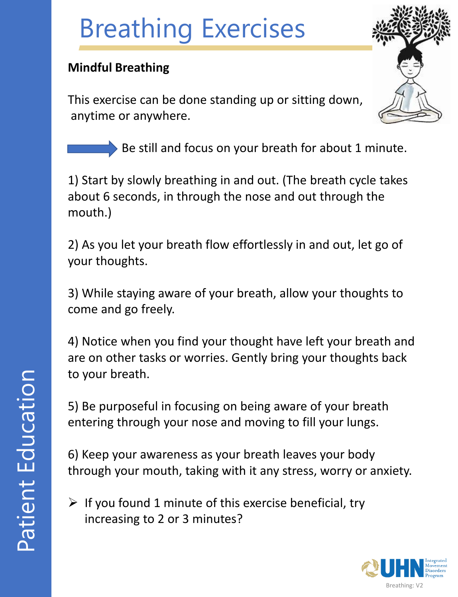### **Mindful Breathing**

This exercise can be done standing up or sitting down, anytime or anywhere.

Be still and focus on your breath for about 1 minute.

1) Start by slowly breathing in and out. (The breath cycle takes about 6 seconds, in through the nose and out through the mouth.)

2) As you let your breath flow effortlessly in and out, let go of your thoughts.

3) While staying aware of your breath, allow your thoughts to come and go freely.

4) Notice when you find your thought have left your breath and are on other tasks or worries. Gently bring your thoughts back to your breath.

5) Be purposeful in focusing on being aware of your breath entering through your nose and moving to fill your lungs.

6) Keep your awareness as your breath leaves your body through your mouth, taking with it any stress, worry or anxiety.

 $\triangleright$  If you found 1 minute of this exercise beneficial, try increasing to 2 or 3 minutes?